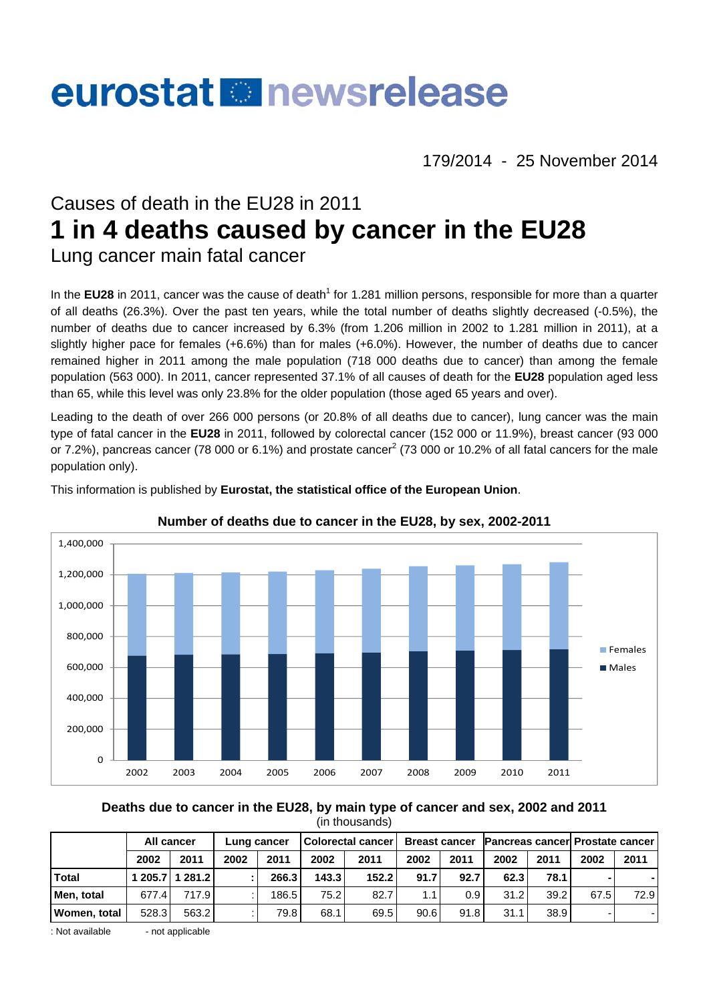# eurostat **B** newsrelease

179/2014 - 25 November 2014

# Causes of death in the EU28 in 2011 **1 in 4 deaths caused by cancer in the EU28**  Lung cancer main fatal cancer

In the EU28 in 2011, cancer was the cause of death<sup>1</sup> for 1.281 million persons, responsible for more than a quarter of all deaths (26.3%). Over the past ten years, while the total number of deaths slightly decreased (-0.5%), the number of deaths due to cancer increased by 6.3% (from 1.206 million in 2002 to 1.281 million in 2011), at a slightly higher pace for females (+6.6%) than for males (+6.0%). However, the number of deaths due to cancer remained higher in 2011 among the male population (718 000 deaths due to cancer) than among the female population (563 000). In 2011, cancer represented 37.1% of all causes of death for the **EU28** population aged less than 65, while this level was only 23.8% for the older population (those aged 65 years and over).

Leading to the death of over 266 000 persons (or 20.8% of all deaths due to cancer), lung cancer was the main type of fatal cancer in the **EU28** in 2011, followed by colorectal cancer (152 000 or 11.9%), breast cancer (93 000 or 7.2%), pancreas cancer (78 000 or 6.1%) and prostate cancer<sup>2</sup> (73 000 or 10.2% of all fatal cancers for the male population only).



This information is published by **Eurostat, the statistical office of the European Union**.

**Number of deaths due to cancer in the EU28, by sex, 2002-2011** 

**Deaths due to cancer in the EU28, by main type of cancer and sex, 2002 and 2011**  (in thousands)

|                     | All cancer |                 | Lung cancer |       | <b>Colorectal cancer</b> |       | <b>Breast cancer</b> |                  | <b>Pancreas cancer Prostate cancer</b> |      |      |      |
|---------------------|------------|-----------------|-------------|-------|--------------------------|-------|----------------------|------------------|----------------------------------------|------|------|------|
|                     | 2002       | 2011            | 2002        | 2011  | 2002                     | 2011  | 2002                 | 2011             | 2002                                   | 2011 | 2002 | 2011 |
| <b>Total</b>        |            | 1 205.7 1 281.2 |             | 266.3 | 143.3                    | 152.2 | 91.7                 | 92.7             | 62.3                                   | 78.1 |      |      |
| Men. total          | 677.4      | 717.9           |             | 186.5 | 75.2                     | 82.7  | 1.1                  | 0.9 <sup>°</sup> | 31.2                                   | 39.2 | 67.5 | 72.9 |
| <b>Women, total</b> | 528.3      | 563.2           |             | 79.8  | 68.1                     | 69.5  | 90.6                 | 91.8             | 31.1                                   | 38.9 |      |      |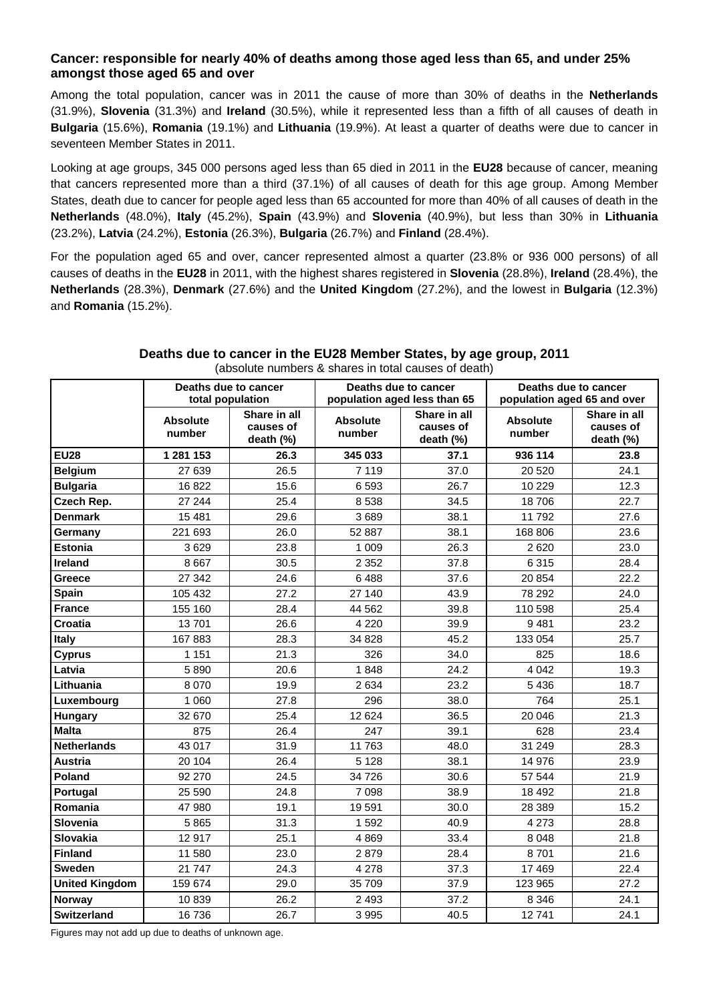## **Cancer: responsible for nearly 40% of deaths among those aged less than 65, and under 25% amongst those aged 65 and over**

Among the total population, cancer was in 2011 the cause of more than 30% of deaths in the **Netherlands** (31.9%), **Slovenia** (31.3%) and **Ireland** (30.5%), while it represented less than a fifth of all causes of death in **Bulgaria** (15.6%), **Romania** (19.1%) and **Lithuania** (19.9%). At least a quarter of deaths were due to cancer in seventeen Member States in 2011.

Looking at age groups, 345 000 persons aged less than 65 died in 2011 in the **EU28** because of cancer, meaning that cancers represented more than a third (37.1%) of all causes of death for this age group. Among Member States, death due to cancer for people aged less than 65 accounted for more than 40% of all causes of death in the **Netherlands** (48.0%), **Italy** (45.2%), **Spain** (43.9%) and **Slovenia** (40.9%), but less than 30% in **Lithuania** (23.2%), **Latvia** (24.2%), **Estonia** (26.3%), **Bulgaria** (26.7%) and **Finland** (28.4%).

For the population aged 65 and over, cancer represented almost a quarter (23.8% or 936 000 persons) of all causes of deaths in the **EU28** in 2011, with the highest shares registered in **Slovenia** (28.8%), **Ireland** (28.4%), the **Netherlands** (28.3%), **Denmark** (27.6%) and the **United Kingdom** (27.2%), and the lowest in **Bulgaria** (12.3%) and **Romania** (15.2%).

|                       | Deaths due to cancer<br>total population |                                        |                           | Deaths due to cancer<br>population aged less than 65 | Deaths due to cancer<br>population aged 65 and over |                                        |  |  |
|-----------------------|------------------------------------------|----------------------------------------|---------------------------|------------------------------------------------------|-----------------------------------------------------|----------------------------------------|--|--|
|                       | <b>Absolute</b><br>number                | Share in all<br>causes of<br>death (%) | <b>Absolute</b><br>number | Share in all<br>causes of<br>death (%)               | <b>Absolute</b><br>number                           | Share in all<br>causes of<br>death (%) |  |  |
| <b>EU28</b>           | 1 281 153                                | 26.3                                   | 345 033                   | 37.1                                                 | 936 114                                             | 23.8                                   |  |  |
| <b>Belgium</b>        | 27 639                                   | 26.5                                   | 7 1 1 9                   | 37.0                                                 | 20 5 20                                             | 24.1                                   |  |  |
| <b>Bulgaria</b>       | 16822                                    | 15.6                                   | 6593                      | 26.7                                                 | 10 229                                              | 12.3                                   |  |  |
| Czech Rep.            | 27 244                                   | 25.4                                   | 8538                      | 34.5                                                 | 18706                                               | 22.7                                   |  |  |
| <b>Denmark</b>        | 15 4 8 1                                 | 29.6                                   | 3689                      | 38.1                                                 | 11 792                                              | 27.6                                   |  |  |
| Germany               | 221 693                                  | 26.0                                   | 52 887                    | 38.1                                                 | 168 806                                             | 23.6                                   |  |  |
| <b>Estonia</b>        | 3629                                     | 23.8                                   | 1 0 0 9                   | 26.3                                                 | 2620                                                | 23.0                                   |  |  |
| <b>Ireland</b>        | 8 6 6 7                                  | 30.5                                   | 2 3 5 2                   | 37.8                                                 | 6315                                                | 28.4                                   |  |  |
| Greece                | 27 342                                   | 24.6                                   | 6488                      | 37.6                                                 | 20 854                                              | 22.2                                   |  |  |
| <b>Spain</b>          | 105 432                                  | 27.2                                   | 27 140                    | 43.9                                                 | 78 292                                              | 24.0                                   |  |  |
| <b>France</b>         | 155 160                                  | 28.4                                   | 44 562                    | 39.8                                                 | 110 598                                             | 25.4                                   |  |  |
| Croatia               | 13701                                    | 26.6                                   | 4 2 2 0                   | 39.9                                                 | 9481                                                | 23.2                                   |  |  |
| Italy                 | 167883                                   | 28.3                                   | 34 828                    | 45.2                                                 | 133 054                                             | 25.7                                   |  |  |
| <b>Cyprus</b>         | 1 1 5 1                                  | 21.3                                   | 326                       | 34.0                                                 | 825                                                 | 18.6                                   |  |  |
| Latvia                | 5890                                     | 20.6                                   | 1848                      | 24.2                                                 | 4 0 4 2                                             | 19.3                                   |  |  |
| Lithuania             | 8 0 7 0                                  | 19.9                                   | 2 6 3 4                   | 23.2                                                 | 5 4 3 6                                             | 18.7                                   |  |  |
| Luxembourg            | 1 0 6 0                                  | 27.8                                   | 296                       | 38.0                                                 | 764                                                 | 25.1                                   |  |  |
| Hungary               | 32 670                                   | 25.4                                   | 12 6 24                   | 36.5                                                 | 20 046                                              | 21.3                                   |  |  |
| <b>Malta</b>          | 875                                      | 26.4                                   | 247                       | 39.1                                                 | 628                                                 | 23.4                                   |  |  |
| <b>Netherlands</b>    | 43 017                                   | 31.9                                   | 11763                     | 48.0                                                 | 31 249                                              | 28.3                                   |  |  |
| <b>Austria</b>        | 20 104                                   | 26.4                                   | 5 1 2 8                   | 38.1                                                 | 14 976                                              | 23.9                                   |  |  |
| Poland                | 92 270                                   | 24.5                                   | 34 726                    | 30.6                                                 | 57 544                                              | 21.9                                   |  |  |
| Portugal              | 25 590                                   | 24.8                                   | 7 0 9 8                   | 38.9                                                 | 18 492                                              | 21.8                                   |  |  |
| Romania               | 47 980                                   | 19.1                                   | 19591                     | 30.0                                                 | 28 389                                              | 15.2                                   |  |  |
| Slovenia              | 5865                                     | 31.3                                   | 1592                      | 40.9                                                 | 4 2 7 3                                             | 28.8                                   |  |  |
| <b>Slovakia</b>       | 12917                                    | 25.1                                   | 4869                      | 33.4                                                 | 8 0 4 8                                             | 21.8                                   |  |  |
| <b>Finland</b>        | 11 580                                   | 23.0                                   | 2879                      | 28.4                                                 | 8701                                                | 21.6                                   |  |  |
| Sweden                | 21 747                                   | 24.3                                   | 4 2 7 8                   | 37.3                                                 | 17 469                                              | 22.4                                   |  |  |
| <b>United Kingdom</b> | 159 674                                  | 29.0                                   | 35 709                    | 37.9                                                 | 123 965                                             | 27.2                                   |  |  |
| <b>Norway</b>         | 10839                                    | 26.2                                   | 2 4 9 3                   | 37.2                                                 | 8 3 4 6                                             | 24.1                                   |  |  |
| <b>Switzerland</b>    | 16736                                    | 26.7                                   | 3 9 9 5                   | 40.5                                                 | 12741                                               | 24.1                                   |  |  |

#### **Deaths due to cancer in the EU28 Member States, by age group, 2011**  (absolute numbers & shares in total causes of death)

Figures may not add up due to deaths of unknown age.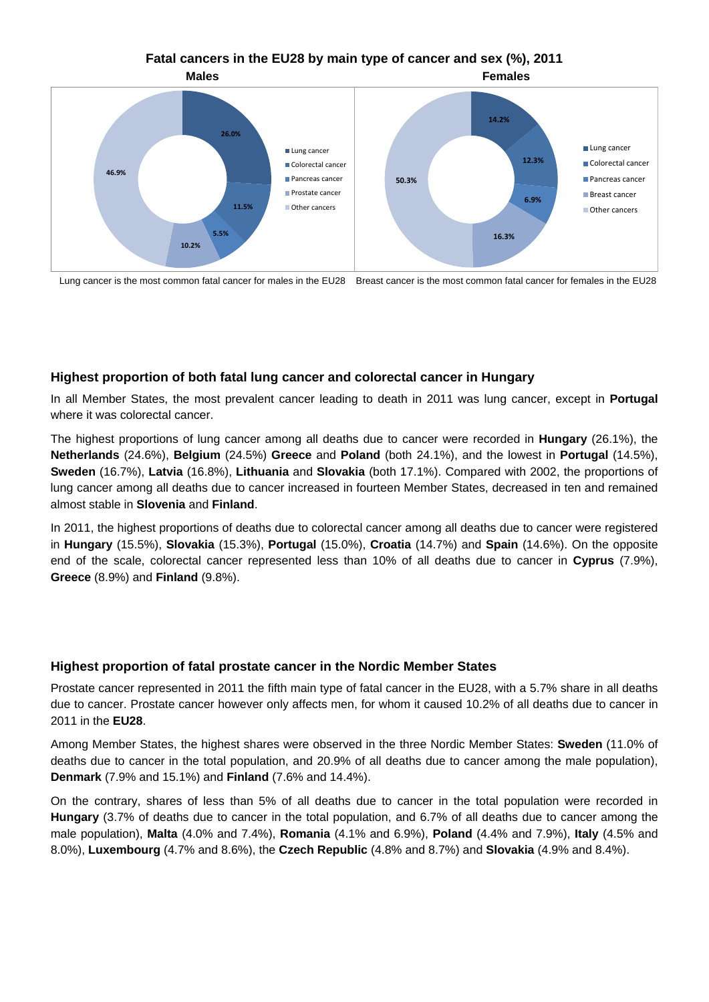# **Fatal cancers in the EU28 by main type of cancer and sex (%), 2011**



Lung cancer is the most common fatal cancer for males in the EU28 Breast cancer is the most common fatal cancer for females in the EU28

### **Highest proportion of both fatal lung cancer and colorectal cancer in Hungary**

In all Member States, the most prevalent cancer leading to death in 2011 was lung cancer, except in **Portugal** where it was colorectal cancer.

The highest proportions of lung cancer among all deaths due to cancer were recorded in **Hungary** (26.1%), the **Netherlands** (24.6%), **Belgium** (24.5%) **Greece** and **Poland** (both 24.1%), and the lowest in **Portugal** (14.5%), **Sweden** (16.7%), **Latvia** (16.8%), **Lithuania** and **Slovakia** (both 17.1%). Compared with 2002, the proportions of lung cancer among all deaths due to cancer increased in fourteen Member States, decreased in ten and remained almost stable in **Slovenia** and **Finland**.

In 2011, the highest proportions of deaths due to colorectal cancer among all deaths due to cancer were registered in **Hungary** (15.5%), **Slovakia** (15.3%), **Portugal** (15.0%), **Croatia** (14.7%) and **Spain** (14.6%). On the opposite end of the scale, colorectal cancer represented less than 10% of all deaths due to cancer in **Cyprus** (7.9%), **Greece** (8.9%) and **Finland** (9.8%).

#### **Highest proportion of fatal prostate cancer in the Nordic Member States**

Prostate cancer represented in 2011 the fifth main type of fatal cancer in the EU28, with a 5.7% share in all deaths due to cancer. Prostate cancer however only affects men, for whom it caused 10.2% of all deaths due to cancer in 2011 in the **EU28**.

Among Member States, the highest shares were observed in the three Nordic Member States: **Sweden** (11.0% of deaths due to cancer in the total population, and 20.9% of all deaths due to cancer among the male population), **Denmark** (7.9% and 15.1%) and **Finland** (7.6% and 14.4%).

On the contrary, shares of less than 5% of all deaths due to cancer in the total population were recorded in **Hungary** (3.7% of deaths due to cancer in the total population, and 6.7% of all deaths due to cancer among the male population), **Malta** (4.0% and 7.4%), **Romania** (4.1% and 6.9%), **Poland** (4.4% and 7.9%), **Italy** (4.5% and 8.0%), **Luxembourg** (4.7% and 8.6%), the **Czech Republic** (4.8% and 8.7%) and **Slovakia** (4.9% and 8.4%).